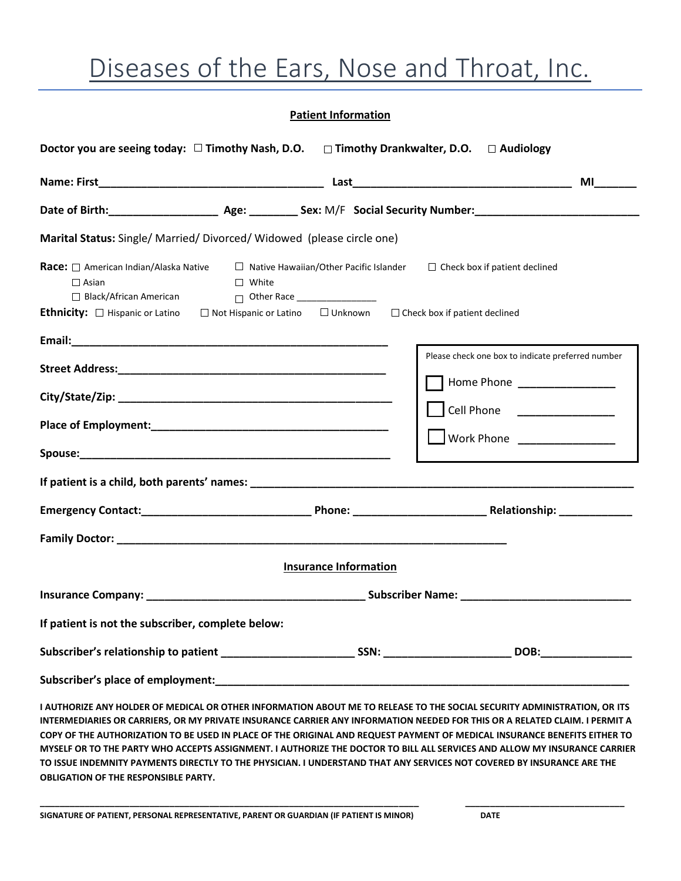# Diseases of the Ears, Nose and Throat, Inc.

#### **Patient Information**

| Doctor you are seeing today: $\Box$ Timothy Nash, D.O. $\Box$ Timothy Drankwalter, D.O. $\Box$ Audiology                      |                                                                                                                                           |                                                                                                                                                 |
|-------------------------------------------------------------------------------------------------------------------------------|-------------------------------------------------------------------------------------------------------------------------------------------|-------------------------------------------------------------------------------------------------------------------------------------------------|
|                                                                                                                               |                                                                                                                                           | <b>MI</b>                                                                                                                                       |
|                                                                                                                               |                                                                                                                                           |                                                                                                                                                 |
| Marital Status: Single/ Married/ Divorced/ Widowed (please circle one)                                                        |                                                                                                                                           |                                                                                                                                                 |
| <b>Race:</b> □ American Indian/Alaska Native<br>$\Box$ Asian<br>$\Box$ Black/African American                                 | $\Box$ Native Hawaiian/Other Pacific Islander $\Box$ Check box if patient declined<br>$\Box$ White<br>$\Box$ Other Race _________________ |                                                                                                                                                 |
| <b>Ethnicity:</b> $\Box$ Hispanic or Latino $\Box$ Not Hispanic or Latino $\Box$ Unknown $\Box$ Check box if patient declined |                                                                                                                                           |                                                                                                                                                 |
|                                                                                                                               |                                                                                                                                           | Please check one box to indicate preferred number<br>Home Phone _________________<br>Cell Phone ________________<br>Work Phone ________________ |
|                                                                                                                               | <b>Insurance Information</b>                                                                                                              |                                                                                                                                                 |
|                                                                                                                               |                                                                                                                                           |                                                                                                                                                 |
| If patient is not the subscriber, complete below:                                                                             |                                                                                                                                           |                                                                                                                                                 |
|                                                                                                                               |                                                                                                                                           |                                                                                                                                                 |
|                                                                                                                               |                                                                                                                                           |                                                                                                                                                 |
| I AUTHORIZE ANY HOLDER OF MEDICAL OR OTHER INFORMATION ABOUT ME TO RELEASE TO THE SOCIAL SECURITY ADMINISTRATION, OR ITS      |                                                                                                                                           | INTERMEDIARIES OR CARRIERS, OR MY PRIVATE INSURANCE CARRIER ANY INFORMATION NEEDED FOR THIS OR A RELATED CLAIM. I PERMIT A                      |

**COPY OF THE AUTHORIZATION TO BE USED IN PLACE OF THE ORIGINAL AND REQUEST PAYMENT OF MEDICAL INSURANCE BENEFITS EITHER TO MYSELF OR TO THE PARTY WHO ACCEPTS ASSIGNMENT. I AUTHORIZE THE DOCTOR TO BILL ALL SERVICES AND ALLOW MY INSURANCE CARRIER TO ISSUE INDEMNITY PAYMENTS DIRECTLY TO THE PHYSICIAN. I UNDERSTAND THAT ANY SERVICES NOT COVERED BY INSURANCE ARE THE OBLIGATION OF THE RESPONSIBLE PARTY.**

**\_\_\_\_\_\_\_\_\_\_\_\_\_\_\_\_\_\_\_\_\_\_\_\_\_\_\_\_\_\_\_\_\_\_\_\_\_\_\_\_\_\_\_\_\_\_\_\_\_\_\_\_\_\_\_\_\_\_\_\_\_\_\_\_\_\_\_\_\_\_\_\_\_\_\_\_ \_\_\_\_\_\_\_\_\_\_\_\_\_\_\_\_\_\_\_\_\_\_\_\_\_\_\_\_\_\_\_\_**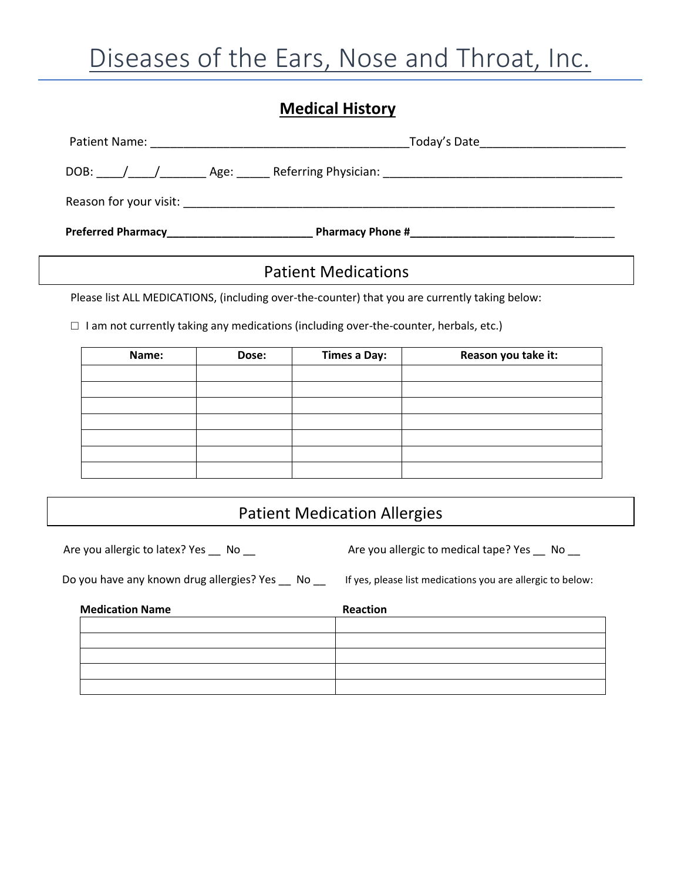### **Medical History**

| DOB: | Age: |  |
|------|------|--|

### Patient Medications

Please list ALL MEDICATIONS, (including over-the-counter) that you are currently taking below:

 **□** I am not currently taking any medications (including over-the-counter, herbals, etc.)

| Name: | Dose: | <b>Times a Day:</b> | Reason you take it: |
|-------|-------|---------------------|---------------------|
|       |       |                     |                     |
|       |       |                     |                     |
|       |       |                     |                     |
|       |       |                     |                     |
|       |       |                     |                     |
|       |       |                     |                     |
|       |       |                     |                     |

### Patient Medication Allergies

Are you allergic to latex? Yes \_\_ No \_\_ Are you allergic to medical tape? Yes \_\_ No \_\_

Do you have any known drug allergies? Yes \_\_ No \_\_ If yes, please list medications you are allergic to below:

| <b>Medication Name</b> | <b>Reaction</b> |
|------------------------|-----------------|
|                        |                 |
|                        |                 |
|                        |                 |
|                        |                 |
|                        |                 |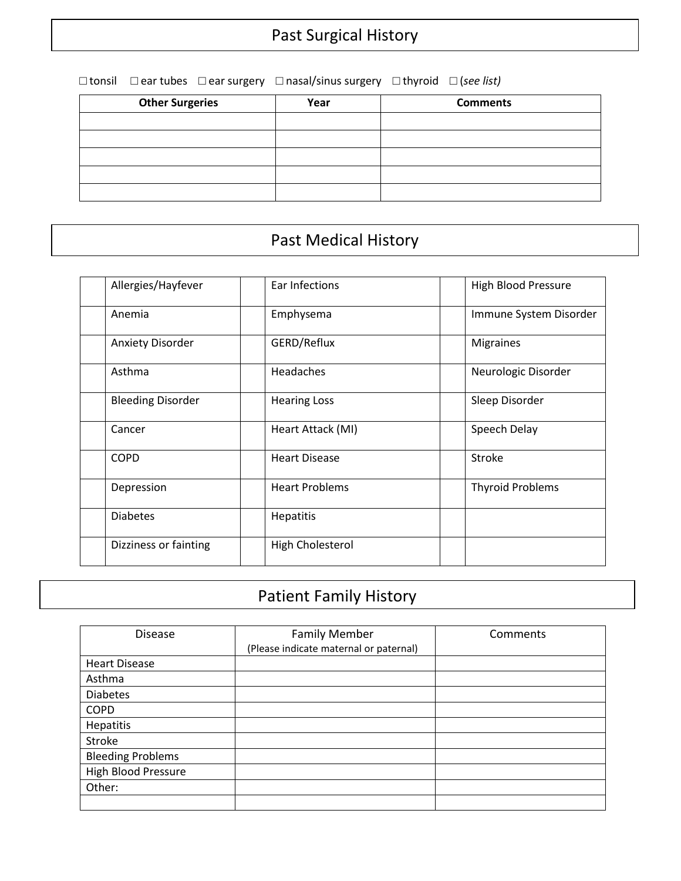□ tonsil □ ear tubes □ ear surgery □ nasal/sinus surgery □ thyroid □ (*see list)*

| <b>Other Surgeries</b> | Year | <b>Comments</b> |
|------------------------|------|-----------------|
|                        |      |                 |
|                        |      |                 |
|                        |      |                 |
|                        |      |                 |
|                        |      |                 |

### Past Medical History

| Allergies/Hayfever<br>Ear Infections<br><b>High Blood Pressure</b><br>Immune System Disorder<br>Anemia<br>Emphysema<br>GERD/Reflux<br><b>Anxiety Disorder</b><br><b>Migraines</b><br>Asthma<br>Headaches<br>Neurologic Disorder<br><b>Bleeding Disorder</b><br>Sleep Disorder<br><b>Hearing Loss</b><br>Cancer<br>Speech Delay<br>Heart Attack (MI)<br><b>COPD</b><br><b>Stroke</b><br><b>Heart Disease</b><br><b>Heart Problems</b><br><b>Thyroid Problems</b><br>Depression<br><b>Diabetes</b><br>Hepatitis<br>High Cholesterol<br>Dizziness or fainting |  |  |
|------------------------------------------------------------------------------------------------------------------------------------------------------------------------------------------------------------------------------------------------------------------------------------------------------------------------------------------------------------------------------------------------------------------------------------------------------------------------------------------------------------------------------------------------------------|--|--|
|                                                                                                                                                                                                                                                                                                                                                                                                                                                                                                                                                            |  |  |
|                                                                                                                                                                                                                                                                                                                                                                                                                                                                                                                                                            |  |  |
|                                                                                                                                                                                                                                                                                                                                                                                                                                                                                                                                                            |  |  |
|                                                                                                                                                                                                                                                                                                                                                                                                                                                                                                                                                            |  |  |
|                                                                                                                                                                                                                                                                                                                                                                                                                                                                                                                                                            |  |  |
|                                                                                                                                                                                                                                                                                                                                                                                                                                                                                                                                                            |  |  |
|                                                                                                                                                                                                                                                                                                                                                                                                                                                                                                                                                            |  |  |
|                                                                                                                                                                                                                                                                                                                                                                                                                                                                                                                                                            |  |  |
|                                                                                                                                                                                                                                                                                                                                                                                                                                                                                                                                                            |  |  |
|                                                                                                                                                                                                                                                                                                                                                                                                                                                                                                                                                            |  |  |

# Patient Family History

| <b>Disease</b>           | <b>Family Member</b>                   | Comments |
|--------------------------|----------------------------------------|----------|
|                          | (Please indicate maternal or paternal) |          |
| <b>Heart Disease</b>     |                                        |          |
| Asthma                   |                                        |          |
| <b>Diabetes</b>          |                                        |          |
| <b>COPD</b>              |                                        |          |
| Hepatitis                |                                        |          |
| Stroke                   |                                        |          |
| <b>Bleeding Problems</b> |                                        |          |
| High Blood Pressure      |                                        |          |
| Other:                   |                                        |          |
|                          |                                        |          |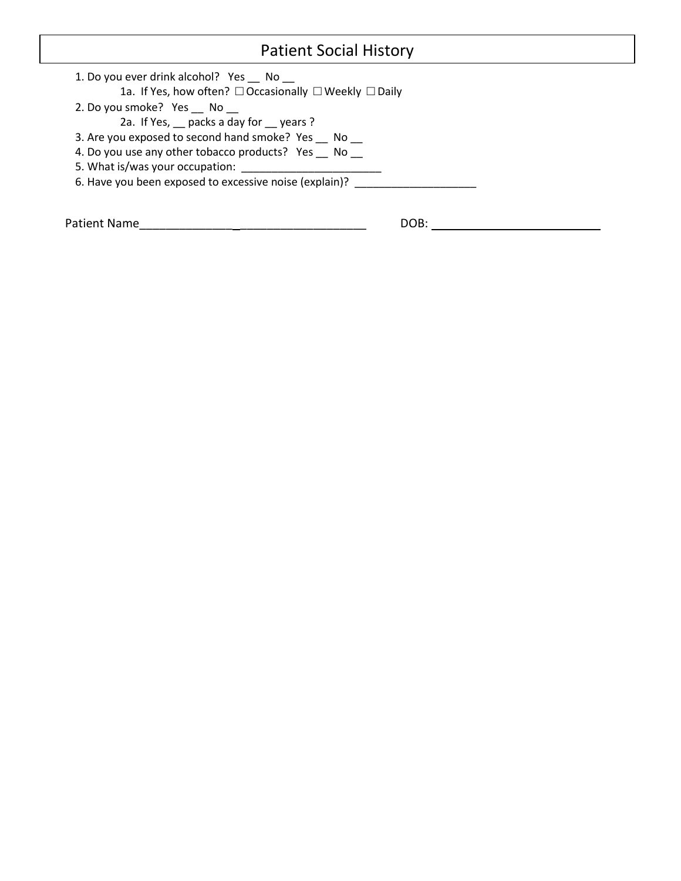## Patient Social History

| 1. Do you ever drink alcohol? Yes No                   |
|--------------------------------------------------------|
| 1a. If Yes, how often? □ Occasionally □ Weekly □ Daily |
| 2. Do you smoke? Yes No                                |
| 2a. If Yes, packs a day for years?                     |
| 3. Are you exposed to second hand smoke? Yes No        |
| 4. Do you use any other tobacco products? Yes No       |
| 5. What is/was your occupation:                        |
| 6. Have you been exposed to excessive noise (explain)? |
|                                                        |
|                                                        |

Patient Name\_\_\_\_\_\_\_\_\_\_\_\_\_\_ \_\_\_\_\_\_\_\_\_\_\_\_\_\_\_\_\_\_\_ DOB: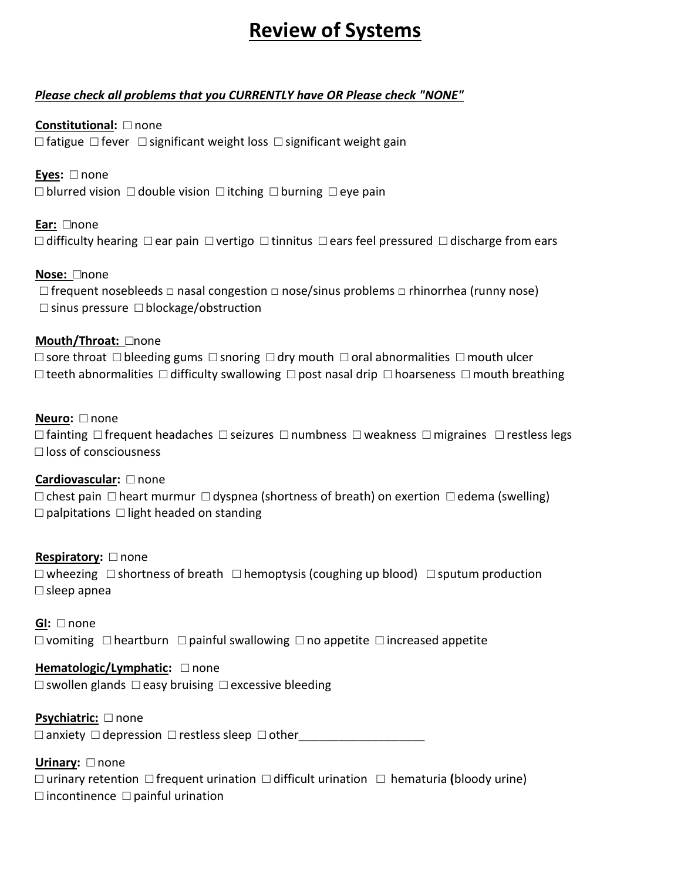# **Review of Systems**

#### *Please check all problems that you CURRENTLY have OR Please check "NONE"*

**Constitutional:** □ none □ fatigue □ fever □ significant weight loss □ significant weight gain

**Eyes:** □ none □ blurred vision □ double vision □ itching □ burning □ eye pain

**Ear:** □none

 $\Box$  difficulty hearing  $\Box$  ear pain  $\Box$  vertigo  $\Box$  tinnitus  $\Box$  ears feel pressured  $\Box$  discharge from ears

#### **Nose:** □none

□ frequent nosebleeds □ nasal congestion □ nose/sinus problems □ rhinorrhea (runny nose) □ sinus pressure □ blockage/obstruction

#### **Mouth/Throat:** □none

□ sore throat □ bleeding gums □ snoring □ dry mouth □ oral abnormalities□ mouth ulcer  $□$  teeth abnormalities  $□$  difficulty swallowing  $□$  post nasal drip  $□$  hoarseness  $□$  mouth breathing

#### **Neuro:** □ none

□ fainting □ frequent headaches □ seizures □ numbness □ weakness □ migraines □ restless legs □ loss of consciousness

#### **Cardiovascular:** □ none

 $□$  chest pain  $□$  heart murmur  $□$  dyspnea (shortness of breath) on exertion  $□$  edema (swelling)  $\Box$  palpitations  $\Box$  light headed on standing

**Respiratory:** □ none  $\square$  wheezing  $\square$  shortness of breath  $\square$  hemoptysis (coughing up blood)  $\square$  sputum production □ sleep apnea

**GI:** □ none  $□$  vomiting  $□$  heartburn  $□$  painful swallowing  $□$  no appetite  $□$  increased appetite

#### **Hematologic/Lymphatic:** □ none

□ swollen glands □ easy bruising □ excessive bleeding

**Psychiatric:** □ none

 $\Box$  anxiety  $\Box$  depression  $\Box$  restless sleep  $\Box$  other

**Urinary:** □ none □ urinary retention □ frequent urination □ difficult urination □hematuria **(**bloody urine)  $\Box$  incontinence  $\Box$  painful urination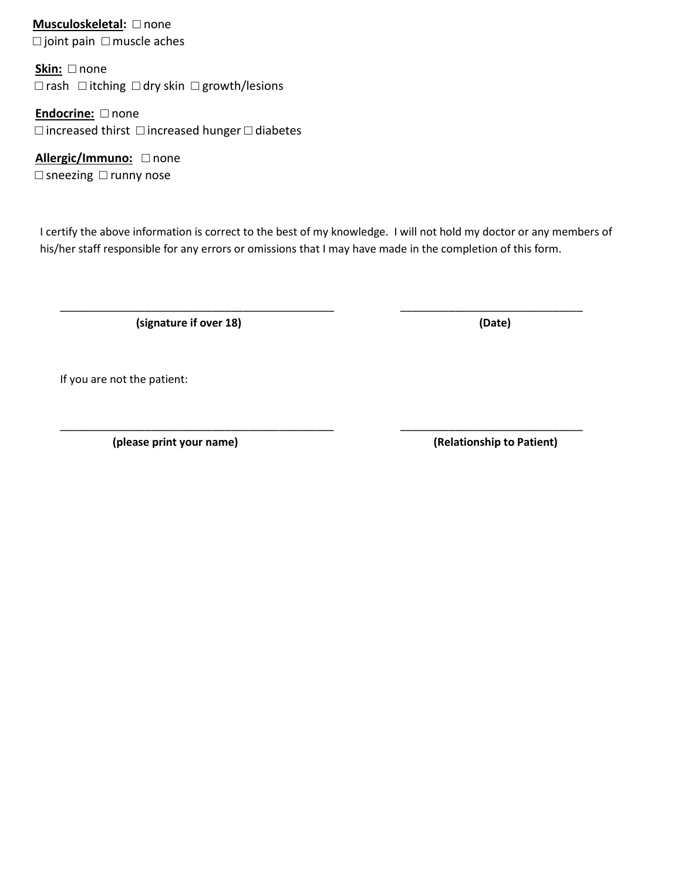**Musculoskeletal:** □ none □ joint pain □ muscle aches

**Skin:** □ none □ rash □ itching □ dry skin □ growth/lesions

**Endocrine:** □ none □ increased thirst □ increased hunger □ diabetes

**Allergic/Immuno:** □ none □ sneezing □ runny nose

I certify the above information is correct to the best of my knowledge. I will not hold my doctor or any members of his/her staff responsible for any errors or omissions that I may have made in the completion of this form.

\_\_\_\_\_\_\_\_\_\_\_\_\_\_\_\_\_\_\_\_\_\_\_\_\_\_\_\_\_\_\_\_\_\_\_\_\_\_\_\_\_\_\_\_\_ \_\_\_\_\_\_\_\_\_\_\_\_\_\_\_\_\_\_\_\_\_\_\_\_\_\_\_\_\_\_

\_\_\_\_\_\_\_\_\_\_\_\_\_\_\_\_\_\_\_\_\_\_\_\_\_\_\_\_\_\_\_\_\_\_\_\_\_\_\_\_\_\_\_\_\_ \_\_\_\_\_\_\_\_\_\_\_\_\_\_\_\_\_\_\_\_\_\_\_\_\_\_\_\_\_\_

 **(signature if over 18) (Date)**

If you are not the patient:

 **(please print your name) (Relationship to Patient)**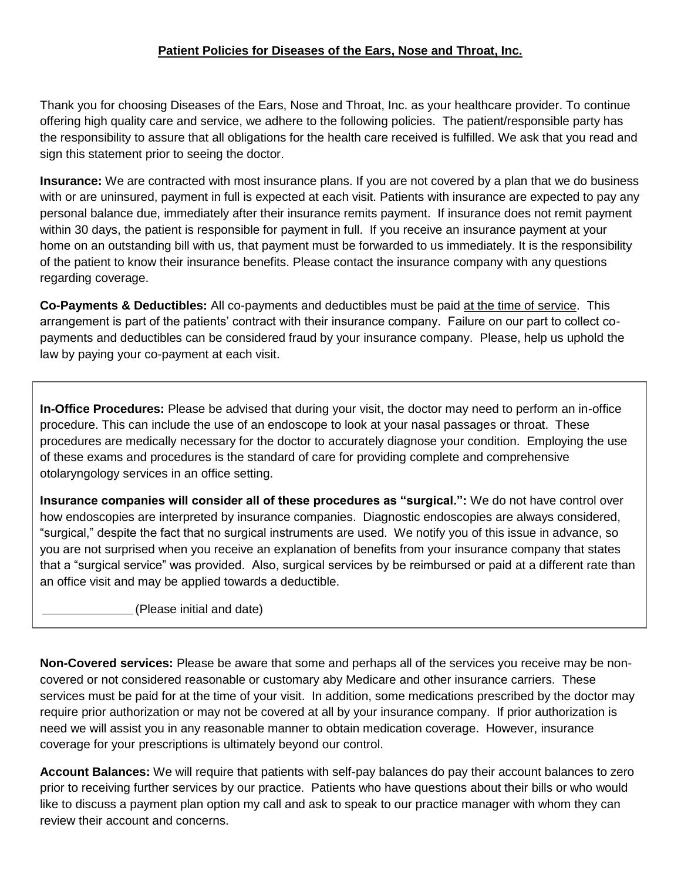#### **Patient Policies for Diseases of the Ears, Nose and Throat, Inc.**

Thank you for choosing Diseases of the Ears, Nose and Throat, Inc. as your healthcare provider. To continue offering high quality care and service, we adhere to the following policies. The patient/responsible party has the responsibility to assure that all obligations for the health care received is fulfilled. We ask that you read and sign this statement prior to seeing the doctor.

**Insurance:** We are contracted with most insurance plans. If you are not covered by a plan that we do business with or are uninsured, payment in full is expected at each visit. Patients with insurance are expected to pay any personal balance due, immediately after their insurance remits payment. If insurance does not remit payment within 30 days, the patient is responsible for payment in full. If you receive an insurance payment at your home on an outstanding bill with us, that payment must be forwarded to us immediately. It is the responsibility of the patient to know their insurance benefits. Please contact the insurance company with any questions regarding coverage.

**Co-Payments & Deductibles:** All co-payments and deductibles must be paid at the time of service. This arrangement is part of the patients' contract with their insurance company. Failure on our part to collect copayments and deductibles can be considered fraud by your insurance company. Please, help us uphold the law by paying your co-payment at each visit.

**In-Office Procedures:** Please be advised that during your visit, the doctor may need to perform an in-office procedure. This can include the use of an endoscope to look at your nasal passages or throat. These procedures are medically necessary for the doctor to accurately diagnose your condition. Employing the use of these exams and procedures is the standard of care for providing complete and comprehensive otolaryngology services in an office setting.

**Insurance companies will consider all of these procedures as "surgical.":** We do not have control over how endoscopies are interpreted by insurance companies. Diagnostic endoscopies are always considered, "surgical," despite the fact that no surgical instruments are used. We notify you of this issue in advance, so you are not surprised when you receive an explanation of benefits from your insurance company that states that a "surgical service" was provided. Also, surgical services by be reimbursed or paid at a different rate than an office visit and may be applied towards a deductible.

(Please initial and date)

**Non-Covered services:** Please be aware that some and perhaps all of the services you receive may be noncovered or not considered reasonable or customary aby Medicare and other insurance carriers. These services must be paid for at the time of your visit. In addition, some medications prescribed by the doctor may require prior authorization or may not be covered at all by your insurance company. If prior authorization is need we will assist you in any reasonable manner to obtain medication coverage. However, insurance coverage for your prescriptions is ultimately beyond our control.

**Account Balances:** We will require that patients with self-pay balances do pay their account balances to zero prior to receiving further services by our practice. Patients who have questions about their bills or who would like to discuss a payment plan option my call and ask to speak to our practice manager with whom they can review their account and concerns.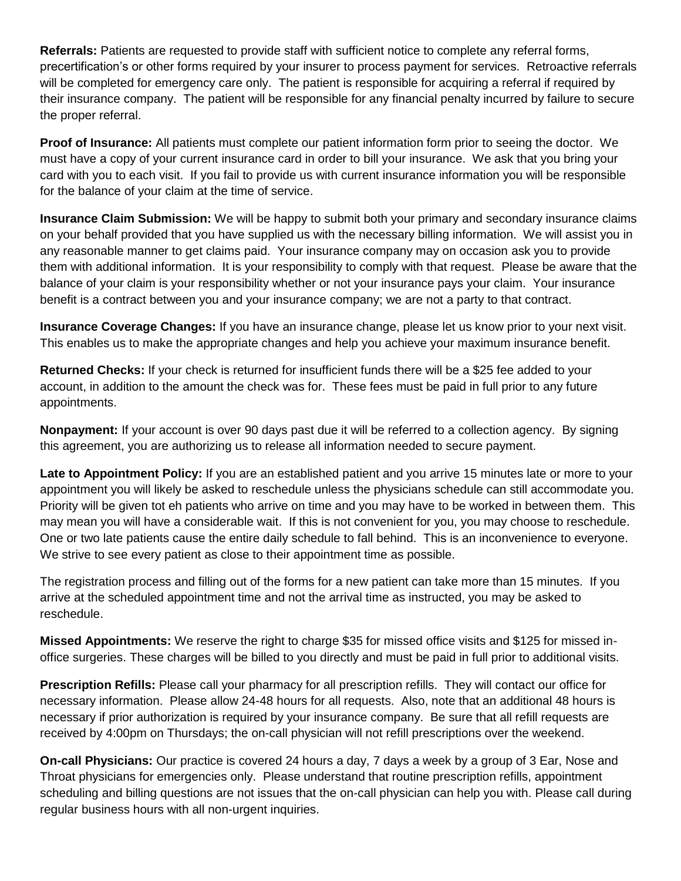**Referrals:** Patients are requested to provide staff with sufficient notice to complete any referral forms, precertification's or other forms required by your insurer to process payment for services. Retroactive referrals will be completed for emergency care only. The patient is responsible for acquiring a referral if required by their insurance company. The patient will be responsible for any financial penalty incurred by failure to secure the proper referral.

**Proof of Insurance:** All patients must complete our patient information form prior to seeing the doctor. We must have a copy of your current insurance card in order to bill your insurance. We ask that you bring your card with you to each visit. If you fail to provide us with current insurance information you will be responsible for the balance of your claim at the time of service.

**Insurance Claim Submission:** We will be happy to submit both your primary and secondary insurance claims on your behalf provided that you have supplied us with the necessary billing information. We will assist you in any reasonable manner to get claims paid. Your insurance company may on occasion ask you to provide them with additional information. It is your responsibility to comply with that request. Please be aware that the balance of your claim is your responsibility whether or not your insurance pays your claim. Your insurance benefit is a contract between you and your insurance company; we are not a party to that contract.

**Insurance Coverage Changes:** If you have an insurance change, please let us know prior to your next visit. This enables us to make the appropriate changes and help you achieve your maximum insurance benefit.

**Returned Checks:** If your check is returned for insufficient funds there will be a \$25 fee added to your account, in addition to the amount the check was for. These fees must be paid in full prior to any future appointments.

**Nonpayment:** If your account is over 90 days past due it will be referred to a collection agency. By signing this agreement, you are authorizing us to release all information needed to secure payment.

**Late to Appointment Policy:** If you are an established patient and you arrive 15 minutes late or more to your appointment you will likely be asked to reschedule unless the physicians schedule can still accommodate you. Priority will be given tot eh patients who arrive on time and you may have to be worked in between them. This may mean you will have a considerable wait. If this is not convenient for you, you may choose to reschedule. One or two late patients cause the entire daily schedule to fall behind. This is an inconvenience to everyone. We strive to see every patient as close to their appointment time as possible.

The registration process and filling out of the forms for a new patient can take more than 15 minutes. If you arrive at the scheduled appointment time and not the arrival time as instructed, you may be asked to reschedule.

**Missed Appointments:** We reserve the right to charge \$35 for missed office visits and \$125 for missed inoffice surgeries. These charges will be billed to you directly and must be paid in full prior to additional visits.

**Prescription Refills:** Please call your pharmacy for all prescription refills. They will contact our office for necessary information. Please allow 24-48 hours for all requests. Also, note that an additional 48 hours is necessary if prior authorization is required by your insurance company. Be sure that all refill requests are received by 4:00pm on Thursdays; the on-call physician will not refill prescriptions over the weekend.

**On-call Physicians:** Our practice is covered 24 hours a day, 7 days a week by a group of 3 Ear, Nose and Throat physicians for emergencies only. Please understand that routine prescription refills, appointment scheduling and billing questions are not issues that the on-call physician can help you with. Please call during regular business hours with all non-urgent inquiries.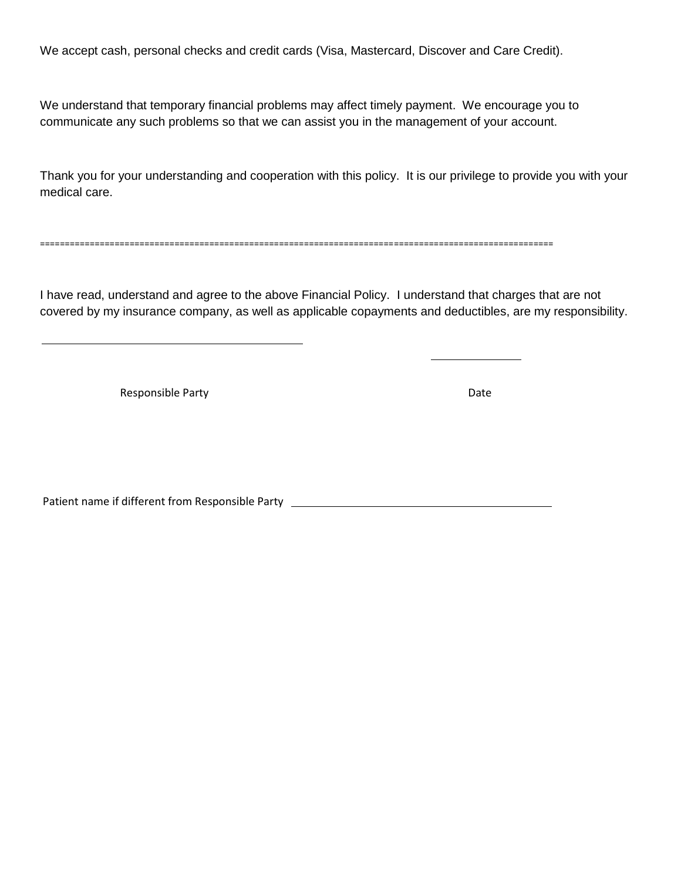We accept cash, personal checks and credit cards (Visa, Mastercard, Discover and Care Credit).

We understand that temporary financial problems may affect timely payment. We encourage you to communicate any such problems so that we can assist you in the management of your account.

Thank you for your understanding and cooperation with this policy. It is our privilege to provide you with your medical care.

=======================================================================================================

I have read, understand and agree to the above Financial Policy. I understand that charges that are not covered by my insurance company, as well as applicable copayments and deductibles, are my responsibility.

Responsible Party **Date** 

 $\overline{a}$ 

Patient name if different from Responsible Party \_\_\_\_\_\_\_\_\_\_\_\_\_\_\_\_\_\_\_\_\_\_\_\_\_\_\_\_\_\_\_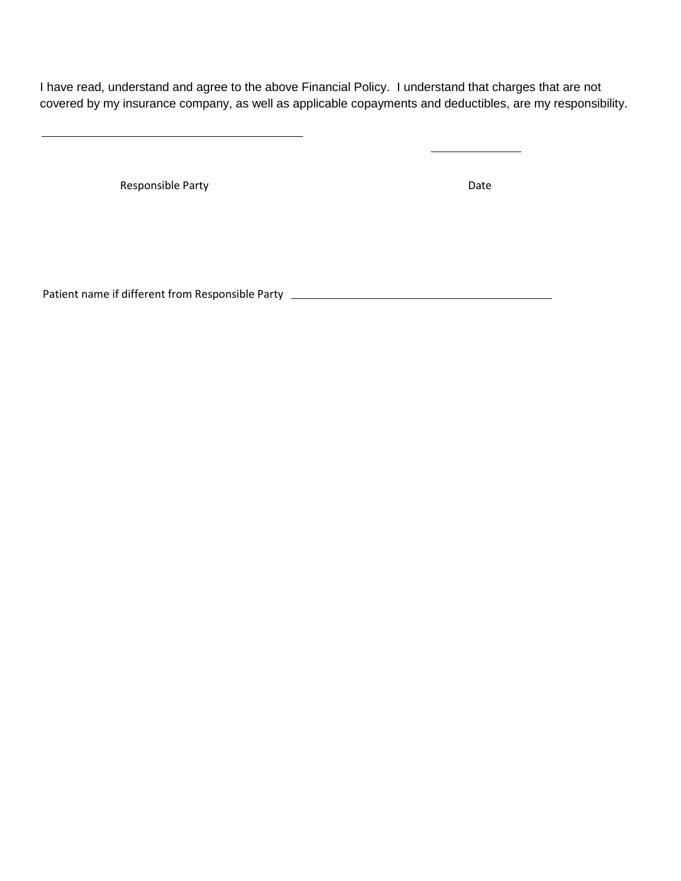I have read, understand and agree to the above Financial Policy. I understand that charges that are not covered by my insurance company, as well as applicable copayments and deductibles, are my responsibility.

Responsible Party **Date** 

 $\overline{a}$ 

Patient name if different from Responsible Party \_\_\_\_\_\_\_\_\_\_\_\_\_\_\_\_\_\_\_\_\_\_\_\_\_\_\_\_\_\_\_\_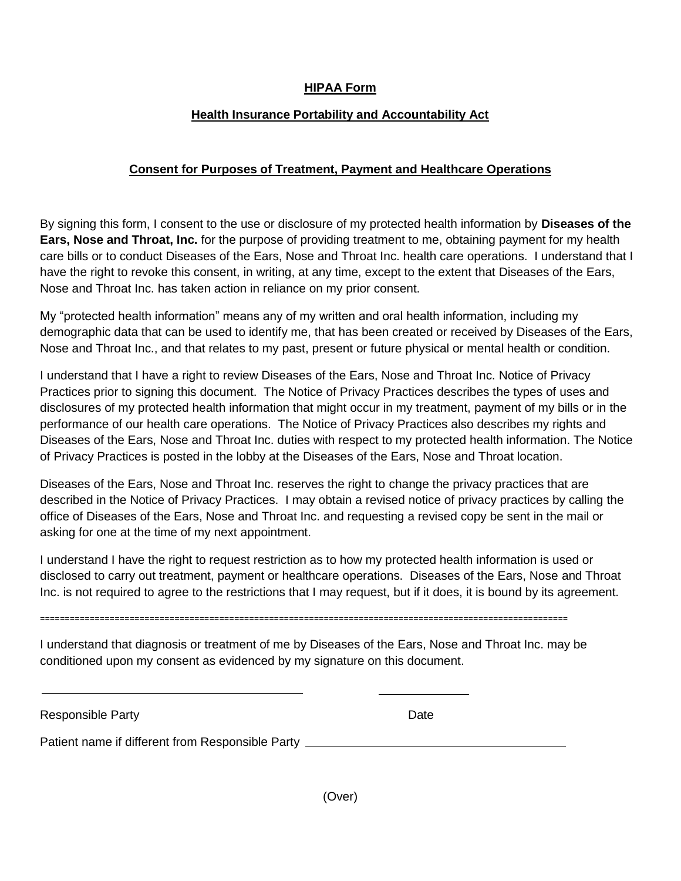#### **HIPAA Form**

#### **Health Insurance Portability and Accountability Act**

#### **Consent for Purposes of Treatment, Payment and Healthcare Operations**

By signing this form, I consent to the use or disclosure of my protected health information by **Diseases of the Ears, Nose and Throat, Inc.** for the purpose of providing treatment to me, obtaining payment for my health care bills or to conduct Diseases of the Ears, Nose and Throat Inc. health care operations. I understand that I have the right to revoke this consent, in writing, at any time, except to the extent that Diseases of the Ears, Nose and Throat Inc. has taken action in reliance on my prior consent.

My "protected health information" means any of my written and oral health information, including my demographic data that can be used to identify me, that has been created or received by Diseases of the Ears, Nose and Throat Inc., and that relates to my past, present or future physical or mental health or condition.

I understand that I have a right to review Diseases of the Ears, Nose and Throat Inc. Notice of Privacy Practices prior to signing this document. The Notice of Privacy Practices describes the types of uses and disclosures of my protected health information that might occur in my treatment, payment of my bills or in the performance of our health care operations. The Notice of Privacy Practices also describes my rights and Diseases of the Ears, Nose and Throat Inc. duties with respect to my protected health information. The Notice of Privacy Practices is posted in the lobby at the Diseases of the Ears, Nose and Throat location.

Diseases of the Ears, Nose and Throat Inc. reserves the right to change the privacy practices that are described in the Notice of Privacy Practices. I may obtain a revised notice of privacy practices by calling the office of Diseases of the Ears, Nose and Throat Inc. and requesting a revised copy be sent in the mail or asking for one at the time of my next appointment.

I understand I have the right to request restriction as to how my protected health information is used or disclosed to carry out treatment, payment or healthcare operations. Diseases of the Ears, Nose and Throat Inc. is not required to agree to the restrictions that I may request, but if it does, it is bound by its agreement.

==========================================================================================================

I understand that diagnosis or treatment of me by Diseases of the Ears, Nose and Throat Inc. may be conditioned upon my consent as evidenced by my signature on this document.

| <b>Responsible Party</b>                         | Date |
|--------------------------------------------------|------|
| Patient name if different from Responsible Party |      |

(Over)